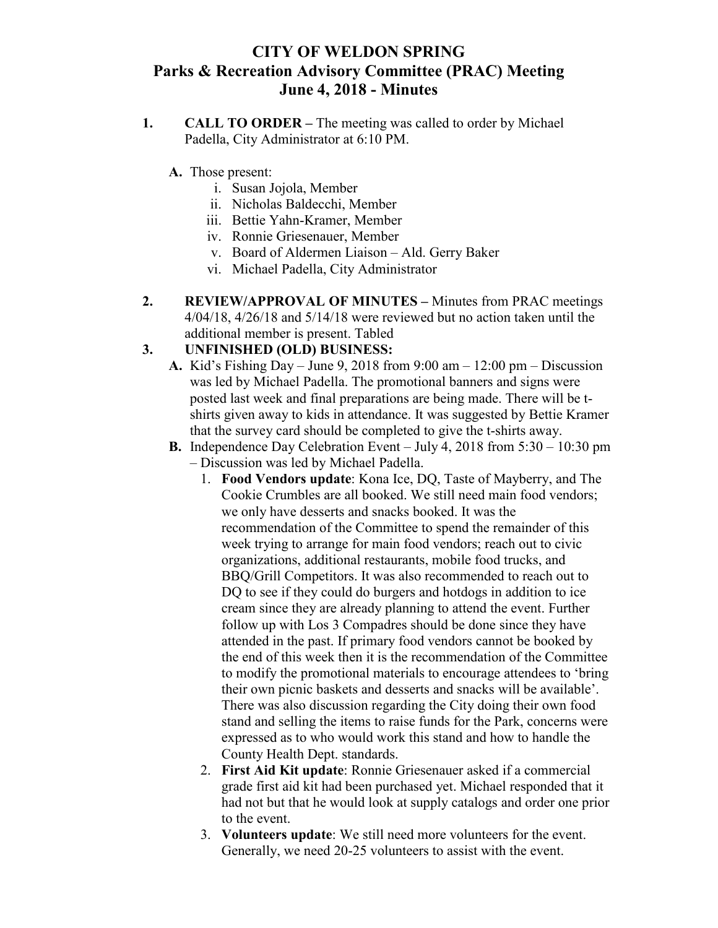## **CITY OF WELDON SPRING Parks & Recreation Advisory Committee (PRAC) Meeting June 4, 2018 - Minutes**

- **1. CALL TO ORDER –** The meeting was called to order by Michael Padella, City Administrator at 6:10 PM.
	- **A.** Those present:
		- i. Susan Jojola, Member
		- ii. Nicholas Baldecchi, Member
		- iii. Bettie Yahn-Kramer, Member
		- iv. Ronnie Griesenauer, Member
		- v. Board of Aldermen Liaison Ald. Gerry Baker
		- vi. Michael Padella, City Administrator
- **2. REVIEW/APPROVAL OF MINUTES –** Minutes from PRAC meetings 4/04/18, 4/26/18 and 5/14/18 were reviewed but no action taken until the additional member is present. Tabled

## **3. UNFINISHED (OLD) BUSINESS:**

- **A.** Kid's Fishing Day June 9, 2018 from 9:00 am 12:00 pm Discussion was led by Michael Padella. The promotional banners and signs were posted last week and final preparations are being made. There will be tshirts given away to kids in attendance. It was suggested by Bettie Kramer that the survey card should be completed to give the t-shirts away.
- **B.** Independence Day Celebration Event July 4, 2018 from 5:30 10:30 pm – Discussion was led by Michael Padella.
	- 1. **Food Vendors update**: Kona Ice, DQ, Taste of Mayberry, and The Cookie Crumbles are all booked. We still need main food vendors; we only have desserts and snacks booked. It was the recommendation of the Committee to spend the remainder of this week trying to arrange for main food vendors; reach out to civic organizations, additional restaurants, mobile food trucks, and BBQ/Grill Competitors. It was also recommended to reach out to DQ to see if they could do burgers and hotdogs in addition to ice cream since they are already planning to attend the event. Further follow up with Los 3 Compadres should be done since they have attended in the past. If primary food vendors cannot be booked by the end of this week then it is the recommendation of the Committee to modify the promotional materials to encourage attendees to 'bring their own picnic baskets and desserts and snacks will be available'. There was also discussion regarding the City doing their own food stand and selling the items to raise funds for the Park, concerns were expressed as to who would work this stand and how to handle the County Health Dept. standards.
	- 2. **First Aid Kit update**: Ronnie Griesenauer asked if a commercial grade first aid kit had been purchased yet. Michael responded that it had not but that he would look at supply catalogs and order one prior to the event.
	- 3. **Volunteers update**: We still need more volunteers for the event. Generally, we need 20-25 volunteers to assist with the event.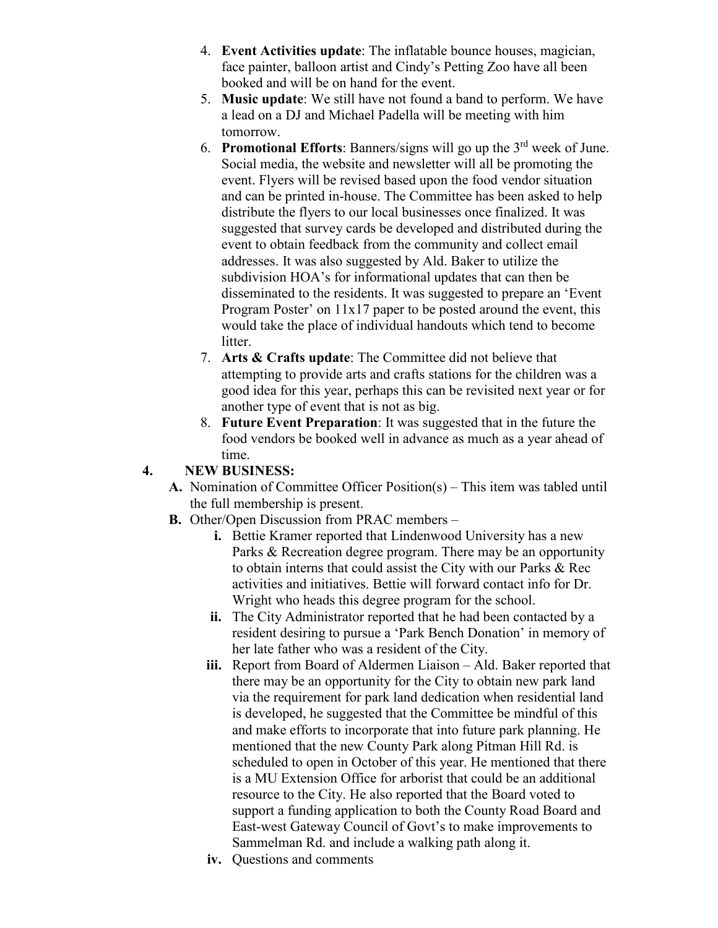- 4. **Event Activities update**: The inflatable bounce houses, magician, face painter, balloon artist and Cindy's Petting Zoo have all been booked and will be on hand for the event.
- 5. **Music update**: We still have not found a band to perform. We have a lead on a DJ and Michael Padella will be meeting with him tomorrow.
- 6. **Promotional Efforts**: Banners/signs will go up the 3rd week of June. Social media, the website and newsletter will all be promoting the event. Flyers will be revised based upon the food vendor situation and can be printed in-house. The Committee has been asked to help distribute the flyers to our local businesses once finalized. It was suggested that survey cards be developed and distributed during the event to obtain feedback from the community and collect email addresses. It was also suggested by Ald. Baker to utilize the subdivision HOA's for informational updates that can then be disseminated to the residents. It was suggested to prepare an 'Event Program Poster' on 11x17 paper to be posted around the event, this would take the place of individual handouts which tend to become litter.
- 7. **Arts & Crafts update**: The Committee did not believe that attempting to provide arts and crafts stations for the children was a good idea for this year, perhaps this can be revisited next year or for another type of event that is not as big.
- 8. **Future Event Preparation**: It was suggested that in the future the food vendors be booked well in advance as much as a year ahead of time.

## **4. NEW BUSINESS:**

- **A.** Nomination of Committee Officer Position(s) This item was tabled until the full membership is present.
- **B.** Other/Open Discussion from PRAC members
	- **i.** Bettie Kramer reported that Lindenwood University has a new Parks & Recreation degree program. There may be an opportunity to obtain interns that could assist the City with our Parks & Rec activities and initiatives. Bettie will forward contact info for Dr. Wright who heads this degree program for the school.
	- **ii.** The City Administrator reported that he had been contacted by a resident desiring to pursue a 'Park Bench Donation' in memory of her late father who was a resident of the City.
	- **iii.** Report from Board of Aldermen Liaison Ald. Baker reported that there may be an opportunity for the City to obtain new park land via the requirement for park land dedication when residential land is developed, he suggested that the Committee be mindful of this and make efforts to incorporate that into future park planning. He mentioned that the new County Park along Pitman Hill Rd. is scheduled to open in October of this year. He mentioned that there is a MU Extension Office for arborist that could be an additional resource to the City. He also reported that the Board voted to support a funding application to both the County Road Board and East-west Gateway Council of Govt's to make improvements to Sammelman Rd. and include a walking path along it.
	- **iv.** Questions and comments